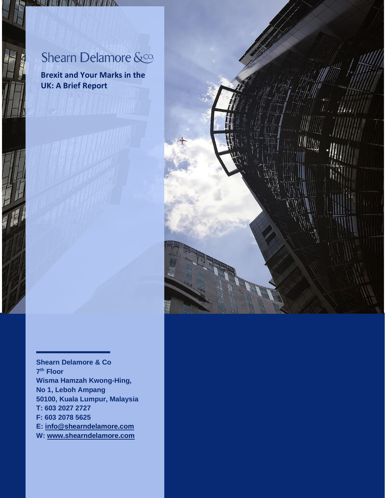*SILHETING LINE* 

**Brexit and Your Marks in the UK: A Brief Report**



**Shearn Delamore & Co 7 th Floor Wisma Hamzah Kwong-Hing, No 1, Leboh Ampang 50100, Kuala Lumpur, Malaysia T: 603 2027 2727 F: 603 2078 5625 E: [info@shearndelamore.com](mailto:info@shearndelamore.com) W: [www.shearndelamore.com](http://www.shearndelamore.com/)**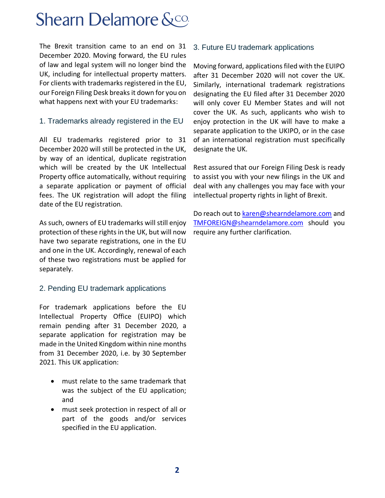The Brexit transition came to an end on 31 December 2020. Moving forward, the EU rules of law and legal system will no longer bind the UK, including for intellectual property matters. For clients with trademarks registered in the EU, our Foreign Filing Desk breaks it down for you on what happens next with your EU trademarks:

#### 1. Trademarks already registered in the EU

All EU trademarks registered prior to 31 December 2020 will still be protected in the UK, by way of an identical, duplicate registration which will be created by the UK Intellectual Property office automatically, without requiring a separate application or payment of official fees. The UK registration will adopt the filing date of the EU registration.

As such, owners of EU trademarks will still enjoy protection of these rights in the UK, but will now have two separate registrations, one in the EU and one in the UK. Accordingly, renewal of each of these two registrations must be applied for separately.

#### 2. Pending EU trademark applications

For trademark applications before the EU Intellectual Property Office (EUIPO) which remain pending after 31 December 2020, a separate application for registration may be made in the United Kingdom within nine months from 31 December 2020, i.e. by 30 September 2021. This UK application:

- must relate to the same trademark that was the subject of the EU application; and
- must seek protection in respect of all or part of the goods and/or services specified in the EU application.

#### 3. Future EU trademark applications

Moving forward, applications filed with the EUIPO after 31 December 2020 will not cover the UK. Similarly, international trademark registrations designating the EU filed after 31 December 2020 will only cover EU Member States and will not cover the UK. As such, applicants who wish to enjoy protection in the UK will have to make a separate application to the UKIPO, or in the case of an international registration must specifically designate the UK.

Rest assured that our Foreign Filing Desk is ready to assist you with your new filings in the UK and deal with any challenges you may face with your intellectual property rights in light of Brexit.

Do reach out to karen@shearndelamore.com and [TMFOREIGN@shearndelamore.com](mailto:TMFOREIGN@shearndelamore.com) should you require any further clarification.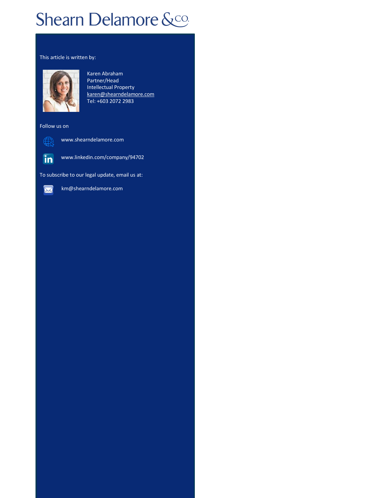#### This article is written by:



Karen Abraham Partner/Head Intellectual Property [karen@shearndelamore.com](mailto:karen@shearndelamore.com) Tel: +603 2072 2983

Follow us on



∰

[www.shearndelamore.com](http://www.shearndelamore.com/)

To subscribe to our legal update, email us at:

www.linkedin.com/company/94702



km@shearndelamore.com